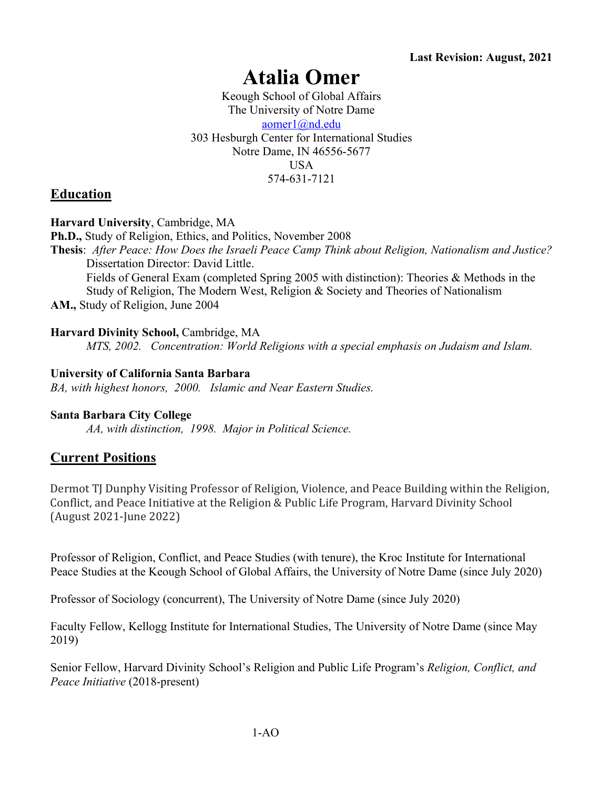# **Atalia Omer**

Keough School of Global Affairs The University of Notre Dame aomer1@nd.edu 303 Hesburgh Center for International Studies Notre Dame, IN 46556-5677 USA 574-631-7121

# **Education**

### **Harvard University**, Cambridge, MA

**Ph.D.,** Study of Religion, Ethics, and Politics, November 2008

**Thesis**: *After Peace: How Does the Israeli Peace Camp Think about Religion, Nationalism and Justice?* Dissertation Director: David Little.

Fields of General Exam (completed Spring 2005 with distinction): Theories & Methods in the Study of Religion, The Modern West, Religion & Society and Theories of Nationalism **AM.,** Study of Religion, June 2004

### **Harvard Divinity School,** Cambridge, MA

*MTS, 2002. Concentration: World Religions with a special emphasis on Judaism and Islam.*

### **University of California Santa Barbara**

*BA, with highest honors, 2000. Islamic and Near Eastern Studies.*

#### **Santa Barbara City College**

*AA, with distinction, 1998. Major in Political Science.*

### **Current Positions**

Dermot TJ Dunphy Visiting Professor of Religion, Violence, and Peace Building within the Religion, Conflict, and Peace Initiative at the Religion & Public Life Program, Harvard Divinity School (August 2021-June 2022)

Professor of Religion, Conflict, and Peace Studies (with tenure), the Kroc Institute for International Peace Studies at the Keough School of Global Affairs, the University of Notre Dame (since July 2020)

Professor of Sociology (concurrent), The University of Notre Dame (since July 2020)

Faculty Fellow, Kellogg Institute for International Studies, The University of Notre Dame (since May 2019)

Senior Fellow, Harvard Divinity School's Religion and Public Life Program's *Religion, Conflict, and Peace Initiative* (2018-present)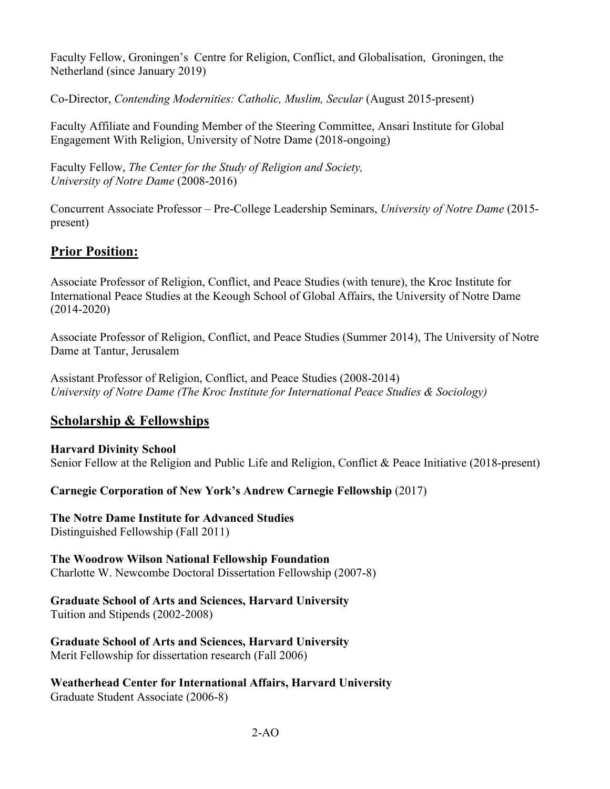Faculty Fellow, Groningen's Centre for Religion, Conflict, and Globalisation, Groningen, the Netherland (since January 2019)

Co-Director, *Contending Modernities: Catholic, Muslim, Secular* (August 2015-present)

Faculty Affiliate and Founding Member of the Steering Committee, Ansari Institute for Global Engagement With Religion, University of Notre Dame (2018-ongoing)

Faculty Fellow, *The Center for the Study of Religion and Society, University of Notre Dame* (2008-2016)

Concurrent Associate Professor – Pre-College Leadership Seminars, *University of Notre Dame* (2015 present)

# **Prior Position:**

Associate Professor of Religion, Conflict, and Peace Studies (with tenure), the Kroc Institute for International Peace Studies at the Keough School of Global Affairs, the University of Notre Dame (2014-2020)

Associate Professor of Religion, Conflict, and Peace Studies (Summer 2014), The University of Notre Dame at Tantur, Jerusalem

Assistant Professor of Religion, Conflict, and Peace Studies (2008-2014) *University of Notre Dame (The Kroc Institute for International Peace Studies & Sociology)*

# **Scholarship & Fellowships**

**Harvard Divinity School** Senior Fellow at the Religion and Public Life and Religion, Conflict & Peace Initiative (2018-present)

**Carnegie Corporation of New York's Andrew Carnegie Fellowship** (2017)

**The Notre Dame Institute for Advanced Studies** Distinguished Fellowship (Fall 2011)

**The Woodrow Wilson National Fellowship Foundation**  Charlotte W. Newcombe Doctoral Dissertation Fellowship (2007-8)

### **Graduate School of Arts and Sciences, Harvard University**

Tuition and Stipends (2002-2008)

**Graduate School of Arts and Sciences, Harvard University** Merit Fellowship for dissertation research (Fall 2006)

**Weatherhead Center for International Affairs, Harvard University** Graduate Student Associate (2006-8)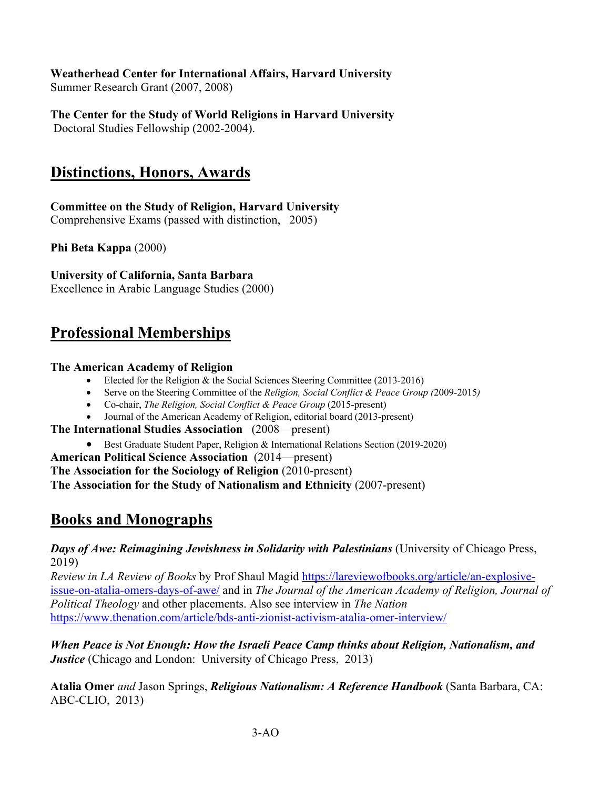### **Weatherhead Center for International Affairs, Harvard University**

Summer Research Grant (2007, 2008)

**The Center for the Study of World Religions in Harvard University** Doctoral Studies Fellowship (2002-2004).

# **Distinctions, Honors, Awards**

**Committee on the Study of Religion, Harvard University** Comprehensive Exams (passed with distinction, 2005)

**Phi Beta Kappa** (2000)

**University of California, Santa Barbara**

Excellence in Arabic Language Studies (2000)

# **Professional Memberships**

### **The American Academy of Religion**

- Elected for the Religion & the Social Sciences Steering Committee (2013-2016)
- Serve on the Steering Committee of the *Religion, Social Conflict & Peace Group (*2009-2015*)*
- Co-chair, *The Religion, Social Conflict & Peace Group* (2015-present)
- Journal of the American Academy of Religion, editorial board (2013-present)

**The International Studies Association** (2008—present)

- Best Graduate Student Paper, Religion & International Relations Section (2019-2020)
- **American Political Science Association** (2014—present)

**The Association for the Sociology of Religion** (2010-present)

**The Association for the Study of Nationalism and Ethnicity** (2007-present)

# **Books and Monographs**

*Days of Awe: Reimagining Jewishness in Solidarity with Palestinians* (University of Chicago Press, 2019)

*Review in LA Review of Books* by Prof Shaul Magid https://lareviewofbooks.org/article/an-explosiveissue-on-atalia-omers-days-of-awe/ and in *The Journal of the American Academy of Religion, Journal of Political Theology* and other placements. Also see interview in *The Nation*  https://www.thenation.com/article/bds-anti-zionist-activism-atalia-omer-interview/

*When Peace is Not Enough: How the Israeli Peace Camp thinks about Religion, Nationalism, and Justice* (Chicago and London: University of Chicago Press, 2013)

**Atalia Omer** *and* Jason Springs, *Religious Nationalism: A Reference Handbook* (Santa Barbara, CA: ABC-CLIO, 2013)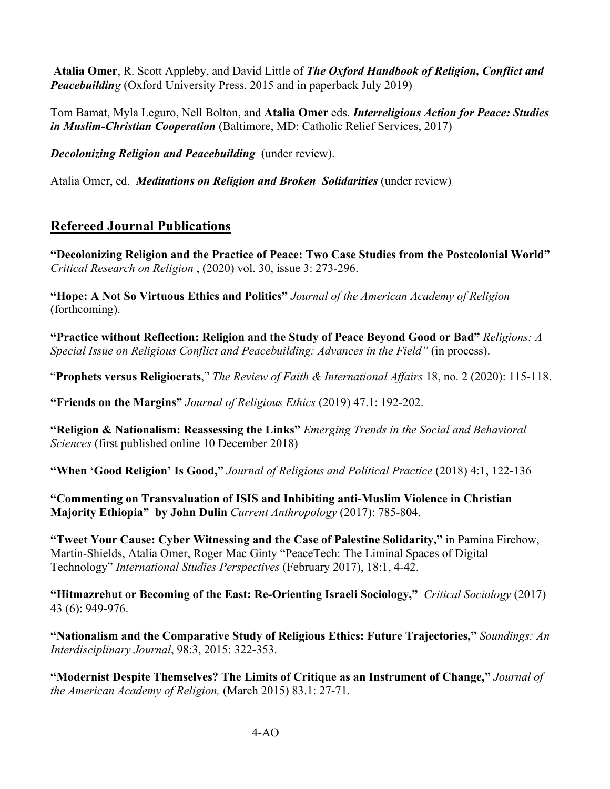**Atalia Omer**, R. Scott Appleby, and David Little of *The Oxford Handbook of Religion, Conflict and Peacebuilding* (Oxford University Press, 2015 and in paperback July 2019)

Tom Bamat, Myla Leguro, Nell Bolton, and **Atalia Omer** eds. *Interreligious Action for Peace: Studies in Muslim-Christian Cooperation* (Baltimore, MD: Catholic Relief Services, 2017)

*Decolonizing Religion and Peacebuilding* (under review).

Atalia Omer, ed. *Meditations on Religion and Broken Solidarities* (under review)

# **Refereed Journal Publications**

**"Decolonizing Religion and the Practice of Peace: Two Case Studies from the Postcolonial World"**  *Critical Research on Religion* , (2020) vol. 30, issue 3: 273-296.

**"Hope: A Not So Virtuous Ethics and Politics"** *Journal of the American Academy of Religion*  (forthcoming).

**"Practice without Reflection: Religion and the Study of Peace Beyond Good or Bad"** *Religions: A Special Issue on Religious Conflict and Peacebuilding: Advances in the Field"* (in process).

"**Prophets versus Religiocrats**," *The Review of Faith & International Affairs* 18, no. 2 (2020): 115-118.

**"Friends on the Margins"** *Journal of Religious Ethics* (2019) 47.1: 192-202.

**"Religion & Nationalism: Reassessing the Links"** *Emerging Trends in the Social and Behavioral Sciences* (first published online 10 December 2018)

**"When 'Good Religion' Is Good,"** *Journal of Religious and Political Practice* (2018) 4:1, 122-136

**"Commenting on Transvaluation of ISIS and Inhibiting anti-Muslim Violence in Christian Majority Ethiopia" by John Dulin** *Current Anthropology* (2017): 785-804.

**"Tweet Your Cause: Cyber Witnessing and the Case of Palestine Solidarity,"** in Pamina Firchow, Martin-Shields, Atalia Omer, Roger Mac Ginty "PeaceTech: The Liminal Spaces of Digital Technology" *International Studies Perspectives* (February 2017), 18:1, 4-42.

**"Hitmazrehut or Becoming of the East: Re-Orienting Israeli Sociology,"** *Critical Sociology* (2017) 43 (6): 949-976.

**"Nationalism and the Comparative Study of Religious Ethics: Future Trajectories,"** *Soundings: An Interdisciplinary Journal*, 98:3, 2015: 322-353.

**"Modernist Despite Themselves? The Limits of Critique as an Instrument of Change,"** *Journal of the American Academy of Religion,* (March 2015) 83.1: 27-71.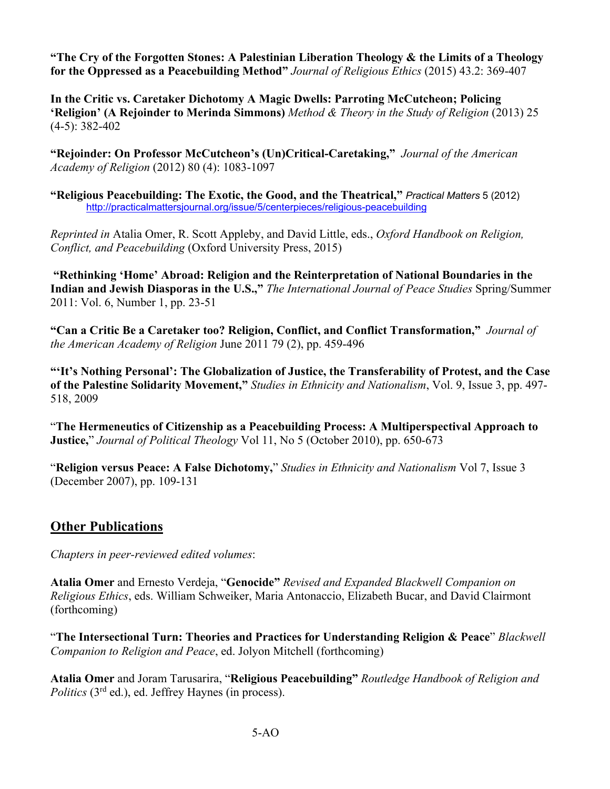**"The Cry of the Forgotten Stones: A Palestinian Liberation Theology & the Limits of a Theology for the Oppressed as a Peacebuilding Method"** *Journal of Religious Ethics* (2015) 43.2: 369-407

**In the Critic vs. Caretaker Dichotomy A Magic Dwells: Parroting McCutcheon; Policing 'Religion' (A Rejoinder to Merinda Simmons)** *Method & Theory in the Study of Religion* (2013) 25 (4-5): 382-402

**"Rejoinder: On Professor McCutcheon's (Un)Critical-Caretaking,"** *Journal of the American Academy of Religion* (2012) 80 (4): 1083-1097

**"Religious Peacebuilding: The Exotic, the Good, and the Theatrical,"** *Practical Matters* 5 (2012) http://practicalmattersjournal.org/issue/5/centerpieces/religious-peacebuilding

*Reprinted in* Atalia Omer, R. Scott Appleby, and David Little, eds., *Oxford Handbook on Religion, Conflict, and Peacebuilding* (Oxford University Press, 2015)

**"Rethinking 'Home' Abroad: Religion and the Reinterpretation of National Boundaries in the Indian and Jewish Diasporas in the U.S.,"** *The International Journal of Peace Studies* Spring/Summer 2011: Vol. 6, Number 1, pp. 23-51

**"Can a Critic Be a Caretaker too? Religion, Conflict, and Conflict Transformation,"** *Journal of the American Academy of Religion* June 2011 79 (2), pp. 459-496

**"'It's Nothing Personal': The Globalization of Justice, the Transferability of Protest, and the Case of the Palestine Solidarity Movement,"** *Studies in Ethnicity and Nationalism*, Vol. 9, Issue 3, pp. 497- 518, 2009

"**The Hermeneutics of Citizenship as a Peacebuilding Process: A Multiperspectival Approach to Justice,**" *Journal of Political Theology* Vol 11, No 5 (October 2010), pp. 650-673

"**Religion versus Peace: A False Dichotomy,**" *Studies in Ethnicity and Nationalism* Vol 7, Issue 3 (December 2007), pp. 109-131

# **Other Publications**

*Chapters in peer-reviewed edited volumes*:

**Atalia Omer** and Ernesto Verdeja, "**Genocide"** *Revised and Expanded Blackwell Companion on Religious Ethics*, eds. William Schweiker, Maria Antonaccio, Elizabeth Bucar, and David Clairmont (forthcoming)

"**The Intersectional Turn: Theories and Practices for Understanding Religion & Peace**" *Blackwell Companion to Religion and Peace*, ed. Jolyon Mitchell (forthcoming)

**Atalia Omer** and Joram Tarusarira, "**Religious Peacebuilding"** *Routledge Handbook of Religion and Politics* (3<sup>rd</sup> ed.), ed. Jeffrey Haynes (in process).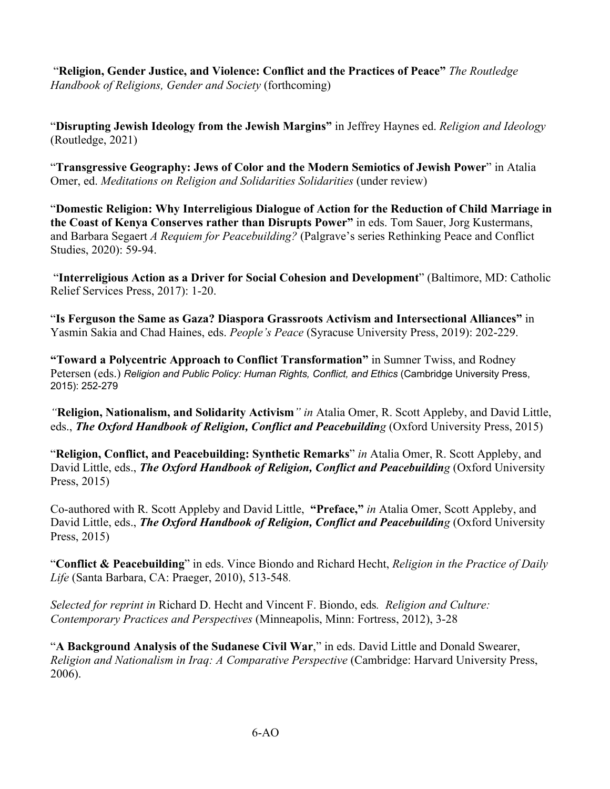"**Religion, Gender Justice, and Violence: Conflict and the Practices of Peace"** *The Routledge Handbook of Religions, Gender and Society* (forthcoming)

"**Disrupting Jewish Ideology from the Jewish Margins"** in Jeffrey Haynes ed. *Religion and Ideology*  (Routledge, 2021)

"**Transgressive Geography: Jews of Color and the Modern Semiotics of Jewish Power**" in Atalia Omer, ed. *Meditations on Religion and Solidarities Solidarities* (under review)

"**Domestic Religion: Why Interreligious Dialogue of Action for the Reduction of Child Marriage in the Coast of Kenya Conserves rather than Disrupts Power"** in eds. Tom Sauer, Jorg Kustermans, and Barbara Segaert *A Requiem for Peacebuilding?* (Palgrave's series Rethinking Peace and Conflict Studies, 2020): 59-94.

"**Interreligious Action as a Driver for Social Cohesion and Development**" (Baltimore, MD: Catholic Relief Services Press, 2017): 1-20.

"**Is Ferguson the Same as Gaza? Diaspora Grassroots Activism and Intersectional Alliances"** in Yasmin Sakia and Chad Haines, eds. *People's Peace* (Syracuse University Press, 2019): 202-229.

**"Toward a Polycentric Approach to Conflict Transformation"** in Sumner Twiss, and Rodney Petersen (eds.) *Religion and Public Policy: Human Rights, Conflict, and Ethics* (Cambridge University Press, 2015): 252-279

*"***Religion, Nationalism, and Solidarity Activism***" in* Atalia Omer, R. Scott Appleby, and David Little, eds., *The Oxford Handbook of Religion, Conflict and Peacebuilding* (Oxford University Press, 2015)

"**Religion, Conflict, and Peacebuilding: Synthetic Remarks**" *in* Atalia Omer, R. Scott Appleby, and David Little, eds., *The Oxford Handbook of Religion, Conflict and Peacebuilding* (Oxford University Press, 2015)

Co-authored with R. Scott Appleby and David Little, **"Preface,"** *in* Atalia Omer, Scott Appleby, and David Little, eds., *The Oxford Handbook of Religion, Conflict and Peacebuilding* (Oxford University Press, 2015)

"**Conflict & Peacebuilding**" in eds. Vince Biondo and Richard Hecht, *Religion in the Practice of Daily Life* (Santa Barbara, CA: Praeger, 2010), 513-548.

*Selected for reprint in* Richard D. Hecht and Vincent F. Biondo, eds*. Religion and Culture: Contemporary Practices and Perspectives* (Minneapolis, Minn: Fortress, 2012), 3-28

"**A Background Analysis of the Sudanese Civil War**," in eds. David Little and Donald Swearer, *Religion and Nationalism in Iraq: A Comparative Perspective* (Cambridge: Harvard University Press, 2006).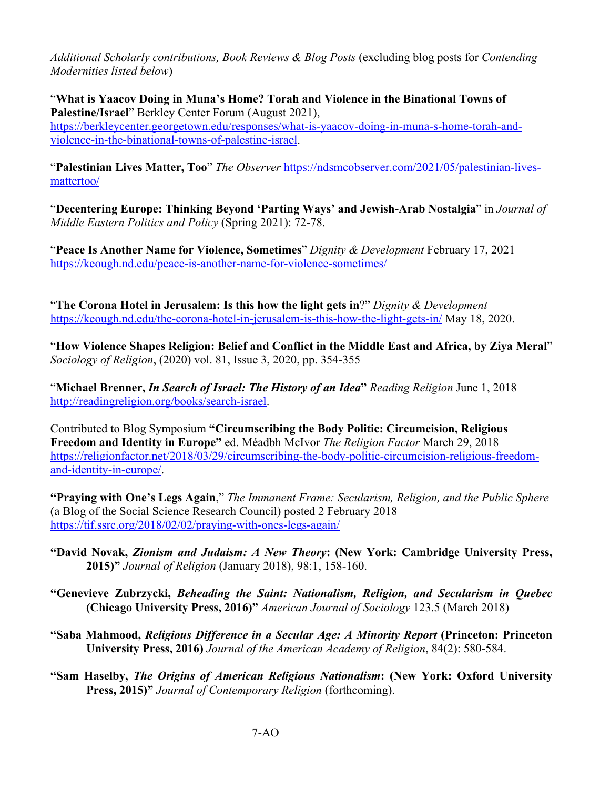*Additional Scholarly contributions, Book Reviews & Blog Posts* (excluding blog posts for *Contending Modernities listed below*)

"**What is Yaacov Doing in Muna's Home? Torah and Violence in the Binational Towns of Palestine/Israel**" Berkley Center Forum (August 2021), https://berkleycenter.georgetown.edu/responses/what-is-yaacov-doing-in-muna-s-home-torah-andviolence-in-the-binational-towns-of-palestine-israel.

"**Palestinian Lives Matter, Too**" *The Observer* https://ndsmcobserver.com/2021/05/palestinian-livesmattertoo/

"**Decentering Europe: Thinking Beyond 'Parting Ways' and Jewish-Arab Nostalgia**" in *Journal of Middle Eastern Politics and Policy* (Spring 2021): 72-78.

"**Peace Is Another Name for Violence, Sometimes**" *Dignity & Development* February 17, 2021 https://keough.nd.edu/peace-is-another-name-for-violence-sometimes/

"**The Corona Hotel in Jerusalem: Is this how the light gets in**?" *Dignity & Development*  https://keough.nd.edu/the-corona-hotel-in-jerusalem-is-this-how-the-light-gets-in/ May 18, 2020.

"**How Violence Shapes Religion: Belief and Conflict in the Middle East and Africa, by Ziya Meral**" *Sociology of Religion*, (2020) vol. 81, Issue 3, 2020, pp. 354-355

"**Michael Brenner,** *In Search of Israel: The History of an Idea***"** *Reading Religion* June 1, 2018 http://readingreligion.org/books/search-israel.

Contributed to Blog Symposium **"Circumscribing the Body Politic: Circumcision, Religious Freedom and Identity in Europe"** ed. Méadbh McIvor *The Religion Factor* March 29, 2018 https://religionfactor.net/2018/03/29/circumscribing-the-body-politic-circumcision-religious-freedomand-identity-in-europe/.

**"Praying with One's Legs Again**," *The Immanent Frame: Secularism, Religion, and the Public Sphere*  (a Blog of the Social Science Research Council) posted 2 February 2018 https://tif.ssrc.org/2018/02/02/praying-with-ones-legs-again/

- **"David Novak,** *Zionism and Judaism: A New Theory***: (New York: Cambridge University Press, 2015)"** *Journal of Religion* (January 2018), 98:1, 158-160.
- **"Genevieve Zubrzycki,** *Beheading the Saint: Nationalism, Religion, and Secularism in Quebec*  **(Chicago University Press, 2016)"** *American Journal of Sociology* 123.5 (March 2018)
- **"Saba Mahmood,** *Religious Difference in a Secular Age: A Minority Report* **(Princeton: Princeton University Press, 2016)** *Journal of the American Academy of Religion*, 84(2): 580-584.
- **"Sam Haselby,** *The Origins of American Religious Nationalism***: (New York: Oxford University Press, 2015)"** *Journal of Contemporary Religion* (forthcoming).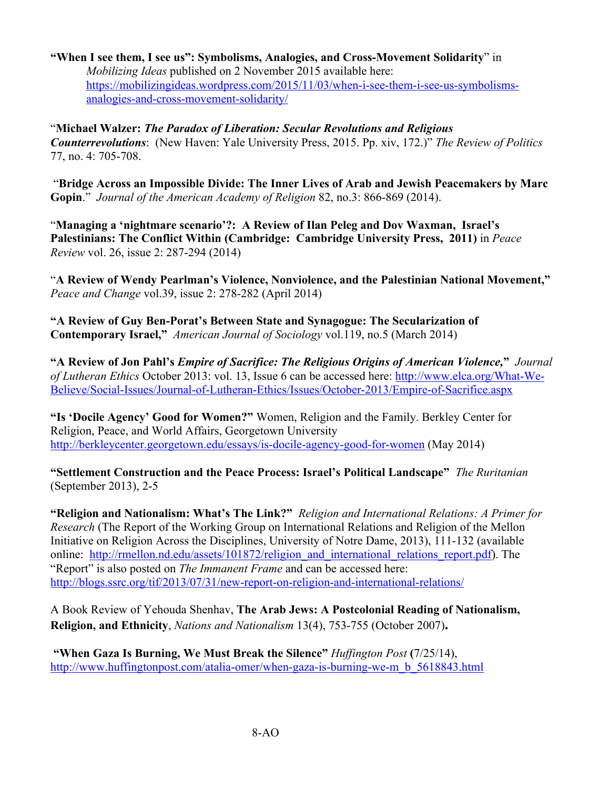### **"When I see them, I see us": Symbolisms, Analogies, and Cross-Movement Solidarity**" in *Mobilizing Ideas* published on 2 November 2015 available here: https://mobilizingideas.wordpress.com/2015/11/03/when-i-see-them-i-see-us-symbolismsanalogies-and-cross-movement-solidarity/

"**Michael Walzer:** *The Paradox of Liberation: Secular Revolutions and Religious Counterrevolutions*: (New Haven: Yale University Press, 2015. Pp. xiv, 172.)" *The Review of Politics*  77, no. 4: 705-708.

"**Bridge Across an Impossible Divide: The Inner Lives of Arab and Jewish Peacemakers by Marc Gopin**." *Journal of the American Academy of Religion* 82, no.3: 866-869 (2014).

"**Managing a 'nightmare scenario'?: A Review of Ilan Peleg and Dov Waxman, Israel's Palestinians: The Conflict Within (Cambridge: Cambridge University Press, 2011)** in *Peace Review* vol. 26, issue 2: 287-294 (2014)

"**A Review of Wendy Pearlman's Violence, Nonviolence, and the Palestinian National Movement,"**  *Peace and Change* vol.39, issue 2: 278-282 (April 2014)

**"A Review of Guy Ben-Porat's Between State and Synagogue: The Secularization of Contemporary Israel,"** *American Journal of Sociology* vol.119, no.5 (March 2014)

**"A Review of Jon Pahl's** *Empire of Sacrifice: The Religious Origins of American Violence,***"** *Journal of Lutheran Ethics* October 2013: vol. 13, Issue 6 can be accessed here: http://www.elca.org/What-We-Believe/Social-Issues/Journal-of-Lutheran-Ethics/Issues/October-2013/Empire-of-Sacrifice.aspx

**"Is 'Docile Agency' Good for Women?"** Women, Religion and the Family. Berkley Center for Religion, Peace, and World Affairs, Georgetown University http://berkleycenter.georgetown.edu/essays/is-docile-agency-good-for-women (May 2014)

**"Settlement Construction and the Peace Process: Israel's Political Landscape"** *The Ruritanian* (September 2013), 2-5

**"Religion and Nationalism: What's The Link?"** *Religion and International Relations: A Primer for Research* (The Report of the Working Group on International Relations and Religion of the Mellon Initiative on Religion Across the Disciplines, University of Notre Dame, 2013), 111-132 (available online: http://rmellon.nd.edu/assets/101872/religion and international relations report.pdf). The "Report" is also posted on *The Immanent Frame* and can be accessed here: http://blogs.ssrc.org/tif/2013/07/31/new-report-on-religion-and-international-relations/

A Book Review of Yehouda Shenhav, **The Arab Jews: A Postcolonial Reading of Nationalism, Religion, and Ethnicity**, *Nations and Nationalism* 13(4), 753-755 (October 2007)**.**

**"When Gaza Is Burning, We Must Break the Silence"** *Huffington Post* **(**7/25/14), http://www.huffingtonpost.com/atalia-omer/when-gaza-is-burning-we-m\_b\_5618843.html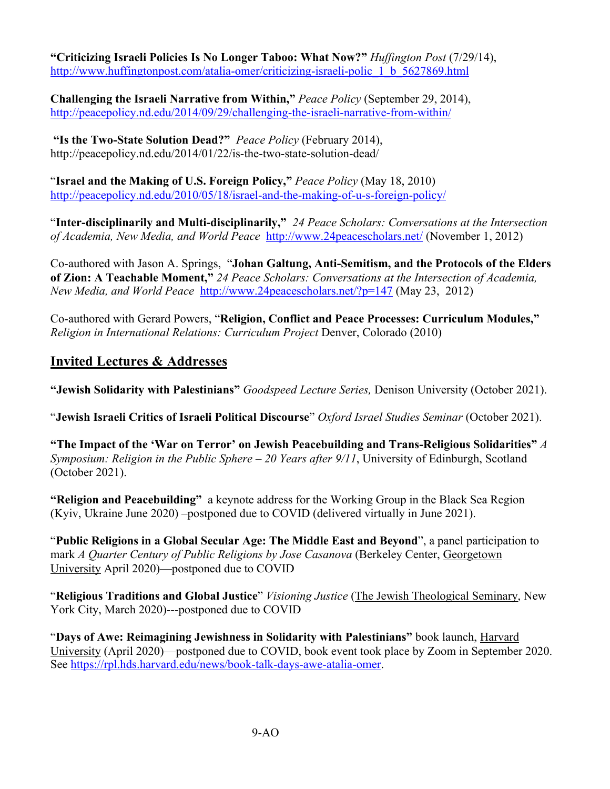**"Criticizing Israeli Policies Is No Longer Taboo: What Now?"** *Huffington Post* (7/29/14), http://www.huffingtonpost.com/atalia-omer/criticizing-israeli-polic\_1\_b\_5627869.html

**Challenging the Israeli Narrative from Within,"** *Peace Policy* (September 29, 2014), http://peacepolicy.nd.edu/2014/09/29/challenging-the-israeli-narrative-from-within/

**"Is the Two-State Solution Dead?"** *Peace Policy* (February 2014), http://peacepolicy.nd.edu/2014/01/22/is-the-two-state-solution-dead/

"**Israel and the Making of U.S. Foreign Policy,"** *Peace Policy* (May 18, 2010) http://peacepolicy.nd.edu/2010/05/18/israel-and-the-making-of-u-s-foreign-policy/

"**Inter-disciplinarily and Multi-disciplinarily,"** *24 Peace Scholars: Conversations at the Intersection of Academia, New Media, and World Peace* http://www.24peacescholars.net/ (November 1, 2012)

Co-authored with Jason A. Springs, "**Johan Galtung, Anti-Semitism, and the Protocols of the Elders of Zion: A Teachable Moment,"** *24 Peace Scholars: Conversations at the Intersection of Academia, New Media, and World Peace* http://www.24peacescholars.net/?p=147 (May 23, 2012)

Co-authored with Gerard Powers, "**Religion, Conflict and Peace Processes: Curriculum Modules,"** *Religion in International Relations: Curriculum Project Denver, Colorado (2010)* 

### **Invited Lectures & Addresses**

**"Jewish Solidarity with Palestinians"** *Goodspeed Lecture Series,* Denison University (October 2021).

"**Jewish Israeli Critics of Israeli Political Discourse**" *Oxford Israel Studies Seminar* (October 2021).

**"The Impact of the 'War on Terror' on Jewish Peacebuilding and Trans-Religious Solidarities"** *A Symposium: Religion in the Public Sphere – 20 Years after 9/11*, University of Edinburgh, Scotland (October 2021).

**"Religion and Peacebuilding"**a keynote address for the Working Group in the Black Sea Region (Kyiv, Ukraine June 2020) –postponed due to COVID (delivered virtually in June 2021).

"**Public Religions in a Global Secular Age: The Middle East and Beyond**", a panel participation to mark *A Quarter Century of Public Religions by Jose Casanova* (Berkeley Center, Georgetown University April 2020)—postponed due to COVID

"**Religious Traditions and Global Justice**" *Visioning Justice* (The Jewish Theological Seminary, New York City, March 2020)---postponed due to COVID

"**Days of Awe: Reimagining Jewishness in Solidarity with Palestinians"** book launch, Harvard University (April 2020)—postponed due to COVID, book event took place by Zoom in September 2020. See https://rpl.hds.harvard.edu/news/book-talk-days-awe-atalia-omer.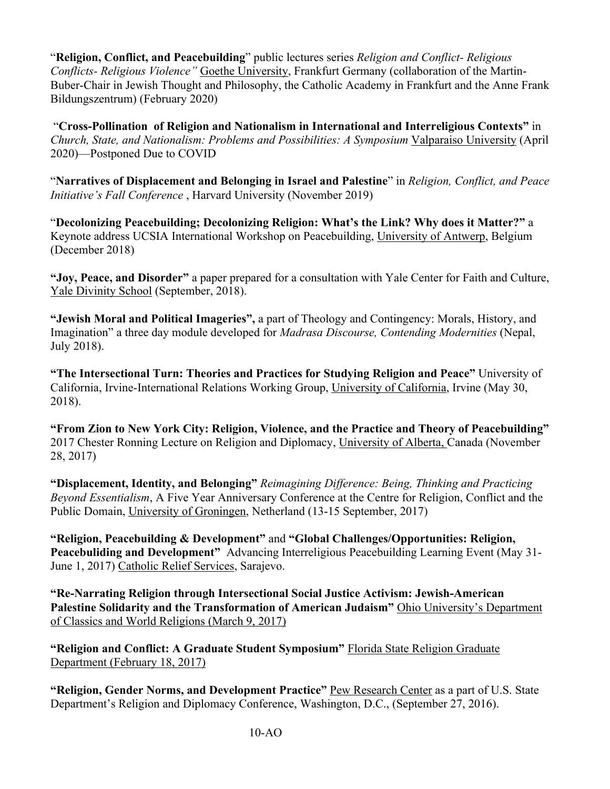"**Religion, Conflict, and Peacebuilding**" public lectures series *Religion and Conflict- Religious Conflicts- Religious Violence"* Goethe University, Frankfurt Germany (collaboration of the Martin-Buber-Chair in Jewish Thought and Philosophy, the Catholic Academy in Frankfurt and the Anne Frank Bildungszentrum) (February 2020)

"**Cross-Pollination of Religion and Nationalism in International and Interreligious Contexts"** in *Church, State, and Nationalism: Problems and Possibilities: A Symposium* Valparaiso University (April 2020)—Postponed Due to COVID

"**Narratives of Displacement and Belonging in Israel and Palestine**" in *Religion, Conflict, and Peace Initiative's Fall Conference* , Harvard University (November 2019)

"**Decolonizing Peacebuilding; Decolonizing Religion: What's the Link? Why does it Matter?"** a Keynote address UCSIA International Workshop on Peacebuilding, University of Antwerp, Belgium (December 2018)

**"Joy, Peace, and Disorder"** a paper prepared for a consultation with Yale Center for Faith and Culture, Yale Divinity School (September, 2018).

**"Jewish Moral and Political Imageries",** a part of Theology and Contingency: Morals, History, and Imagination" a three day module developed for *Madrasa Discourse, Contending Modernities* (Nepal, July 2018).

**"The Intersectional Turn: Theories and Practices for Studying Religion and Peace"** University of California, Irvine-International Relations Working Group, University of California, Irvine (May 30, 2018).

**"From Zion to New York City: Religion, Violence, and the Practice and Theory of Peacebuilding"**  2017 Chester Ronning Lecture on Religion and Diplomacy, University of Alberta, Canada (November 28, 2017)

**"Displacement, Identity, and Belonging"** *Reimagining Difference: Being, Thinking and Practicing Beyond Essentialism*, A Five Year Anniversary Conference at the Centre for Religion, Conflict and the Public Domain, University of Groningen, Netherland (13-15 September, 2017)

**"Religion, Peacebuilding & Development"** and **"Global Challenges/Opportunities: Religion, Peacebuliding and Development"** Advancing Interreligious Peacebuilding Learning Event (May 31- June 1, 2017) Catholic Relief Services, Sarajevo.

**"Re-Narrating Religion through Intersectional Social Justice Activism: Jewish-American Palestine Solidarity and the Transformation of American Judaism"** Ohio University's Department of Classics and World Religions (March 9, 2017)

**"Religion and Conflict: A Graduate Student Symposium"** Florida State Religion Graduate Department (February 18, 2017)

**"Religion, Gender Norms, and Development Practice"** Pew Research Center as a part of U.S. State Department's Religion and Diplomacy Conference, Washington, D.C., (September 27, 2016).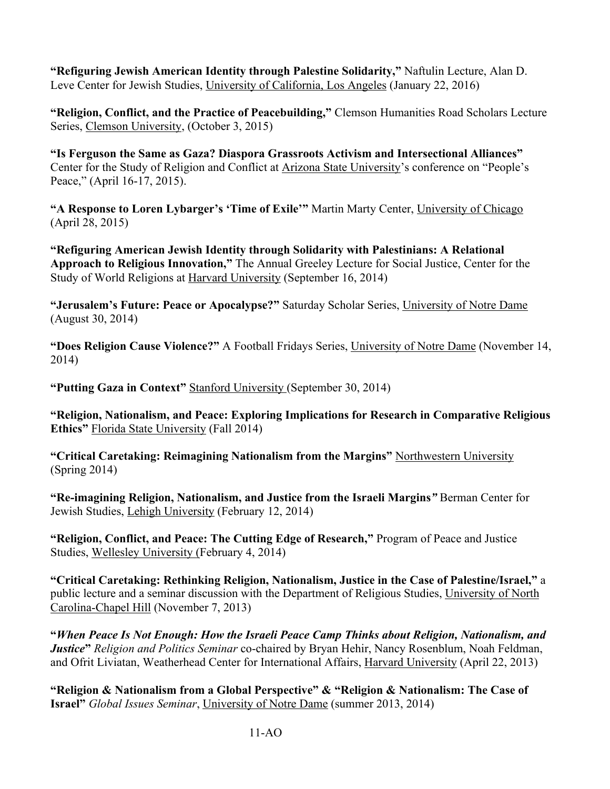**"Refiguring Jewish American Identity through Palestine Solidarity,"** Naftulin Lecture, Alan D. Leve Center for Jewish Studies, University of California, Los Angeles (January 22, 2016)

**"Religion, Conflict, and the Practice of Peacebuilding,"** Clemson Humanities Road Scholars Lecture Series, Clemson University, (October 3, 2015)

**"Is Ferguson the Same as Gaza? Diaspora Grassroots Activism and Intersectional Alliances"** Center for the Study of Religion and Conflict at Arizona State University's conference on "People's Peace," (April 16-17, 2015).

**"A Response to Loren Lybarger's 'Time of Exile'"** Martin Marty Center, University of Chicago (April 28, 2015)

**"Refiguring American Jewish Identity through Solidarity with Palestinians: A Relational Approach to Religious Innovation,"** The Annual Greeley Lecture for Social Justice, Center for the Study of World Religions at Harvard University (September 16, 2014)

**"Jerusalem's Future: Peace or Apocalypse?"** Saturday Scholar Series, University of Notre Dame (August 30, 2014)

**"Does Religion Cause Violence?"** A Football Fridays Series, University of Notre Dame (November 14, 2014)

**"Putting Gaza in Context"** Stanford University (September 30, 2014)

**"Religion, Nationalism, and Peace: Exploring Implications for Research in Comparative Religious Ethics"** Florida State University (Fall 2014)

**"Critical Caretaking: Reimagining Nationalism from the Margins"** Northwestern University (Spring 2014)

**"Re-imagining Religion, Nationalism, and Justice from the Israeli Margins***"* Berman Center for Jewish Studies, Lehigh University (February 12, 2014)

**"Religion, Conflict, and Peace: The Cutting Edge of Research,"** Program of Peace and Justice Studies, Wellesley University (February 4, 2014)

**"Critical Caretaking: Rethinking Religion, Nationalism, Justice in the Case of Palestine/Israel,"** a public lecture and a seminar discussion with the Department of Religious Studies, University of North Carolina-Chapel Hill (November 7, 2013)

**"***When Peace Is Not Enough: How the Israeli Peace Camp Thinks about Religion, Nationalism, and Justice***"** *Religion and Politics Seminar* co-chaired by Bryan Hehir, Nancy Rosenblum, Noah Feldman, and Ofrit Liviatan, Weatherhead Center for International Affairs, Harvard University (April 22, 2013)

**"Religion & Nationalism from a Global Perspective" & "Religion & Nationalism: The Case of Israel"** *Global Issues Seminar*, University of Notre Dame (summer 2013, 2014)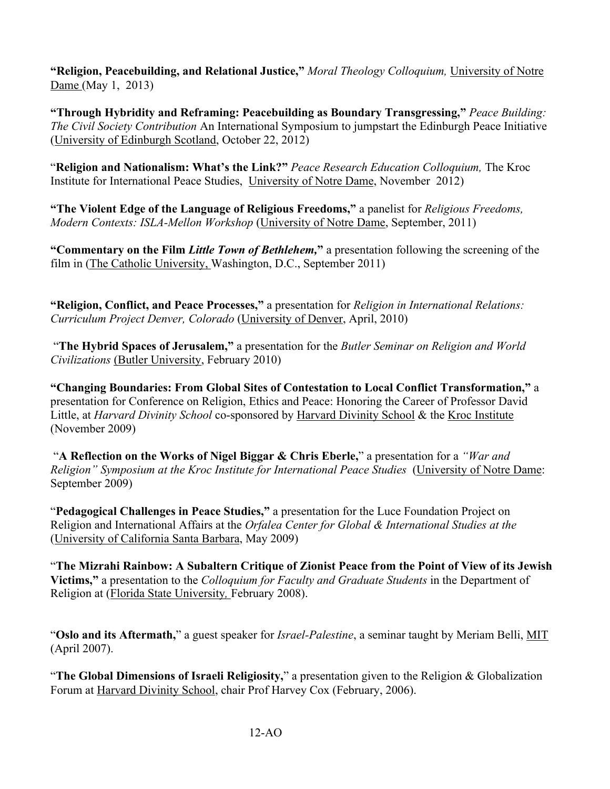**"Religion, Peacebuilding, and Relational Justice,"** *Moral Theology Colloquium,* University of Notre Dame (May 1, 2013)

**"Through Hybridity and Reframing: Peacebuilding as Boundary Transgressing,"** *Peace Building: The Civil Society Contribution* An International Symposium to jumpstart the Edinburgh Peace Initiative (University of Edinburgh Scotland, October 22, 2012)

"**Religion and Nationalism: What's the Link?"** *Peace Research Education Colloquium,* The Kroc Institute for International Peace Studies, University of Notre Dame, November 2012)

**"The Violent Edge of the Language of Religious Freedoms,"** a panelist for *Religious Freedoms, Modern Contexts: ISLA-Mellon Workshop* (University of Notre Dame, September, 2011)

**"Commentary on the Film** *Little Town of Bethlehem,***"** a presentation following the screening of the film in (The Catholic University, Washington, D.C., September 2011)

**"Religion, Conflict, and Peace Processes,"** a presentation for *Religion in International Relations: Curriculum Project Denver, Colorado* (University of Denver, April, 2010)

"**The Hybrid Spaces of Jerusalem,"** a presentation for the *Butler Seminar on Religion and World Civilizations* (Butler University, February 2010)

**"Changing Boundaries: From Global Sites of Contestation to Local Conflict Transformation,"** a presentation for Conference on Religion, Ethics and Peace: Honoring the Career of Professor David Little, at *Harvard Divinity School* co-sponsored by Harvard Divinity School & the Kroc Institute (November 2009)

"**A Reflection on the Works of Nigel Biggar & Chris Eberle,**" a presentation for a *"War and Religion" Symposium at the Kroc Institute for International Peace Studies* (University of Notre Dame: September 2009)

"**Pedagogical Challenges in Peace Studies,"** a presentation for the Luce Foundation Project on Religion and International Affairs at the *Orfalea Center for Global & International Studies at the*  (University of California Santa Barbara, May 2009)

"**The Mizrahi Rainbow: A Subaltern Critique of Zionist Peace from the Point of View of its Jewish Victims,"** a presentation to the *Colloquium for Faculty and Graduate Students* in the Department of Religion at (Florida State University*,* February 2008).

"**Oslo and its Aftermath,**" a guest speaker for *Israel-Palestine*, a seminar taught by Meriam Belli, MIT (April 2007).

"**The Global Dimensions of Israeli Religiosity,**" a presentation given to the Religion & Globalization Forum at Harvard Divinity School, chair Prof Harvey Cox (February, 2006).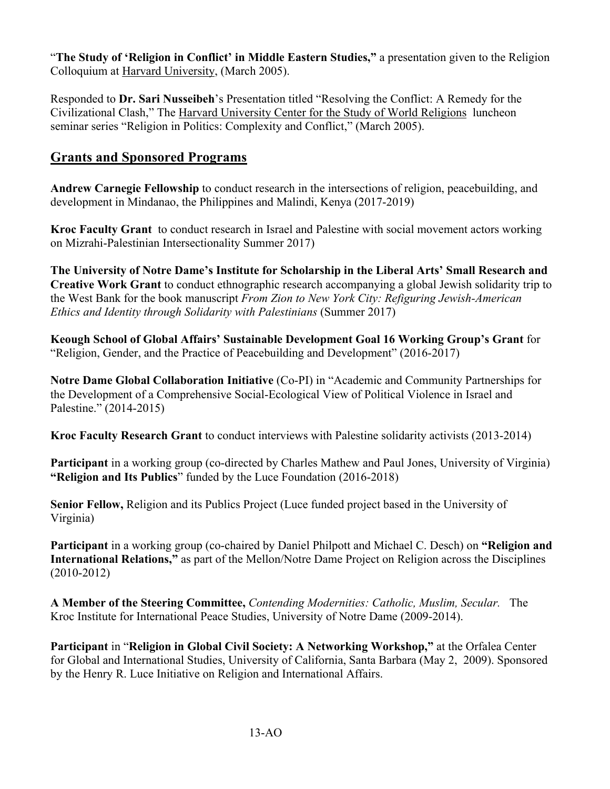"**The Study of 'Religion in Conflict' in Middle Eastern Studies,"** a presentation given to the Religion Colloquium at Harvard University, (March 2005).

Responded to **Dr. Sari Nusseibeh**'s Presentation titled "Resolving the Conflict: A Remedy for the Civilizational Clash," The Harvard University Center for the Study of World Religions luncheon seminar series "Religion in Politics: Complexity and Conflict," (March 2005).

# **Grants and Sponsored Programs**

**Andrew Carnegie Fellowship** to conduct research in the intersections of religion, peacebuilding, and development in Mindanao, the Philippines and Malindi, Kenya (2017-2019)

**Kroc Faculty Grant** to conduct research in Israel and Palestine with social movement actors working on Mizrahi-Palestinian Intersectionality Summer 2017)

**The University of Notre Dame's Institute for Scholarship in the Liberal Arts' Small Research and Creative Work Grant** to conduct ethnographic research accompanying a global Jewish solidarity trip to the West Bank for the book manuscript *From Zion to New York City: Refiguring Jewish-American Ethics and Identity through Solidarity with Palestinians* (Summer 2017)

**Keough School of Global Affairs' Sustainable Development Goal 16 Working Group's Grant** for "Religion, Gender, and the Practice of Peacebuilding and Development" (2016-2017)

**Notre Dame Global Collaboration Initiative** (Co-PI) in "Academic and Community Partnerships for the Development of a Comprehensive Social-Ecological View of Political Violence in Israel and Palestine." (2014-2015)

**Kroc Faculty Research Grant** to conduct interviews with Palestine solidarity activists (2013-2014)

**Participant** in a working group (co-directed by Charles Mathew and Paul Jones, University of Virginia) **"Religion and Its Publics**" funded by the Luce Foundation (2016-2018)

**Senior Fellow,** Religion and its Publics Project (Luce funded project based in the University of Virginia)

**Participant** in a working group (co-chaired by Daniel Philpott and Michael C. Desch) on **"Religion and International Relations,"** as part of the Mellon/Notre Dame Project on Religion across the Disciplines (2010-2012)

**A Member of the Steering Committee,** *Contending Modernities: Catholic, Muslim, Secular.* The Kroc Institute for International Peace Studies, University of Notre Dame (2009-2014).

**Participant** in "**Religion in Global Civil Society: A Networking Workshop,"** at the Orfalea Center for Global and International Studies, University of California, Santa Barbara (May 2, 2009). Sponsored by the Henry R. Luce Initiative on Religion and International Affairs.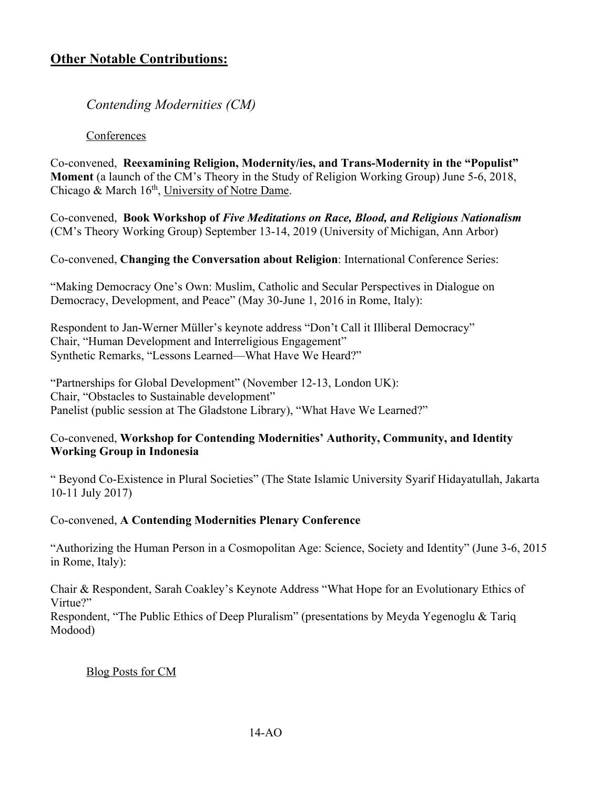# **Other Notable Contributions:**

*Contending Modernities (CM)*

### **Conferences**

Co-convened, **Reexamining Religion, Modernity/ies, and Trans-Modernity in the "Populist" Moment** (a launch of the CM's Theory in the Study of Religion Working Group) June 5-6, 2018, Chicago & March 16<sup>th</sup>, University of Notre Dame.

Co-convened, **Book Workshop of** *Five Meditations on Race, Blood, and Religious Nationalism* (CM's Theory Working Group) September 13-14, 2019 (University of Michigan, Ann Arbor)

Co-convened, **Changing the Conversation about Religion**: International Conference Series:

"Making Democracy One's Own: Muslim, Catholic and Secular Perspectives in Dialogue on Democracy, Development, and Peace" (May 30-June 1, 2016 in Rome, Italy):

Respondent to Jan-Werner Müller's keynote address "Don't Call it Illiberal Democracy" Chair, "Human Development and Interreligious Engagement" Synthetic Remarks, "Lessons Learned—What Have We Heard?"

"Partnerships for Global Development" (November 12-13, London UK): Chair, "Obstacles to Sustainable development" Panelist (public session at The Gladstone Library), "What Have We Learned?"

### Co-convened, **Workshop for Contending Modernities' Authority, Community, and Identity Working Group in Indonesia**

" Beyond Co-Existence in Plural Societies" (The State Islamic University Syarif Hidayatullah, Jakarta 10-11 July 2017)

### Co-convened, **A Contending Modernities Plenary Conference**

"Authorizing the Human Person in a Cosmopolitan Age: Science, Society and Identity" (June 3-6, 2015 in Rome, Italy):

Chair & Respondent, Sarah Coakley's Keynote Address "What Hope for an Evolutionary Ethics of Virtue?"

Respondent, "The Public Ethics of Deep Pluralism" (presentations by Meyda Yegenoglu & Tariq Modood)

### Blog Posts for CM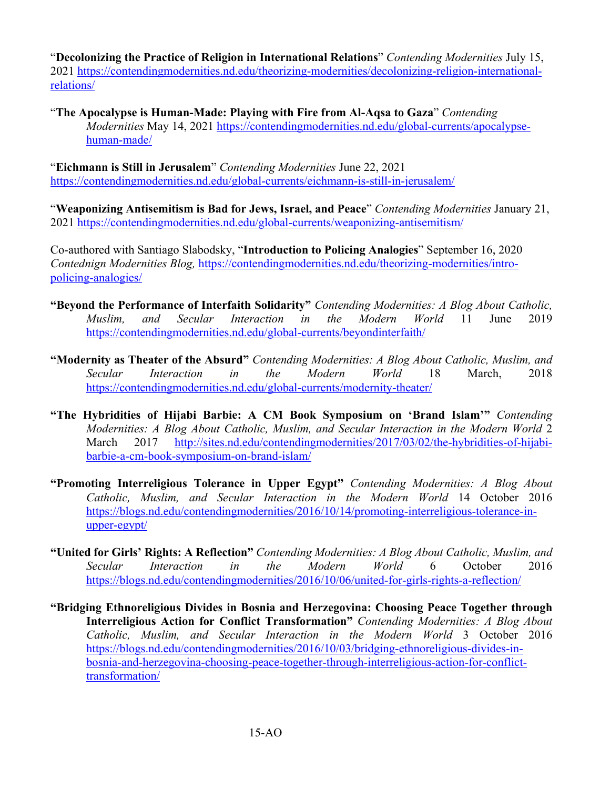"**Decolonizing the Practice of Religion in International Relations**" *Contending Modernities* July 15, 2021 https://contendingmodernities.nd.edu/theorizing-modernities/decolonizing-religion-internationalrelations/

"**The Apocalypse is Human-Made: Playing with Fire from Al-Aqsa to Gaza**" *Contending Modernities* May 14, 2021 https://contendingmodernities.nd.edu/global-currents/apocalypsehuman-made/

"**Eichmann is Still in Jerusalem**" *Contending Modernities* June 22, 2021 https://contendingmodernities.nd.edu/global-currents/eichmann-is-still-in-jerusalem/

"**Weaponizing Antisemitism is Bad for Jews, Israel, and Peace**" *Contending Modernities* January 21, 2021 https://contendingmodernities.nd.edu/global-currents/weaponizing-antisemitism/

Co-authored with Santiago Slabodsky, "**Introduction to Policing Analogies**" September 16, 2020 *Contednign Modernities Blog,* https://contendingmodernities.nd.edu/theorizing-modernities/intropolicing-analogies/

- **"Beyond the Performance of Interfaith Solidarity"** *Contending Modernities: A Blog About Catholic, Muslim, and Secular Interaction in the Modern World* 11 June 2019 https://contendingmodernities.nd.edu/global-currents/beyondinterfaith/
- **"Modernity as Theater of the Absurd"** *Contending Modernities: A Blog About Catholic, Muslim, and Secular Interaction in the Modern World* 18 March, 2018 https://contendingmodernities.nd.edu/global-currents/modernity-theater/
- **"The Hybridities of Hijabi Barbie: A CM Book Symposium on 'Brand Islam'"** *Contending Modernities: A Blog About Catholic, Muslim, and Secular Interaction in the Modern World* 2 March 2017 http://sites.nd.edu/contendingmodernities/2017/03/02/the-hybridities-of-hijabibarbie-a-cm-book-symposium-on-brand-islam/
- **"Promoting Interreligious Tolerance in Upper Egypt"** *Contending Modernities: A Blog About Catholic, Muslim, and Secular Interaction in the Modern World* 14 October 2016 https://blogs.nd.edu/contendingmodernities/2016/10/14/promoting-interreligious-tolerance-inupper-egypt/
- **"United for Girls' Rights: A Reflection"** *Contending Modernities: A Blog About Catholic, Muslim, and Secular Interaction in the Modern World* 6 October 2016 https://blogs.nd.edu/contendingmodernities/2016/10/06/united-for-girls-rights-a-reflection/
- **"Bridging Ethnoreligious Divides in Bosnia and Herzegovina: Choosing Peace Together through Interreligious Action for Conflict Transformation"** *Contending Modernities: A Blog About Catholic, Muslim, and Secular Interaction in the Modern World* 3 October 2016 https://blogs.nd.edu/contendingmodernities/2016/10/03/bridging-ethnoreligious-divides-inbosnia-and-herzegovina-choosing-peace-together-through-interreligious-action-for-conflicttransformation/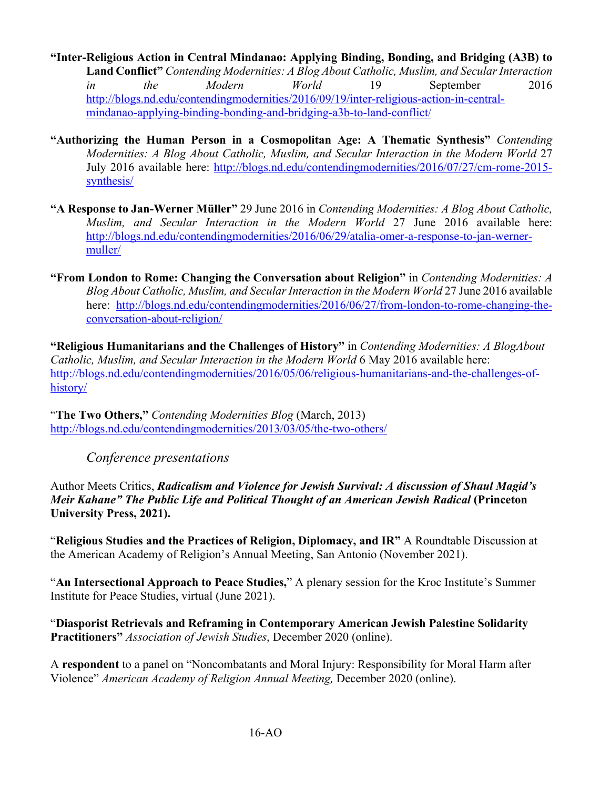**"Inter-Religious Action in Central Mindanao: Applying Binding, Bonding, and Bridging (A3B) to Land Conflict"** *Contending Modernities: A Blog About Catholic, Muslim, and Secular Interaction in the Modern World* 19 September 2016 http://blogs.nd.edu/contendingmodernities/2016/09/19/inter-religious-action-in-centralmindanao-applying-binding-bonding-and-bridging-a3b-to-land-conflict/

- **"Authorizing the Human Person in a Cosmopolitan Age: A Thematic Synthesis"** *Contending Modernities: A Blog About Catholic, Muslim, and Secular Interaction in the Modern World* 27 July 2016 available here: http://blogs.nd.edu/contendingmodernities/2016/07/27/cm-rome-2015 synthesis/
- **"A Response to Jan-Werner Müller"** 29 June 2016 in *Contending Modernities: A Blog About Catholic, Muslim, and Secular Interaction in the Modern World* 27 June 2016 available here: http://blogs.nd.edu/contendingmodernities/2016/06/29/atalia-omer-a-response-to-jan-wernermuller/
- **"From London to Rome: Changing the Conversation about Religion"** in *Contending Modernities: A Blog About Catholic, Muslim, and Secular Interaction in the Modern World* 27 June 2016 available here: http://blogs.nd.edu/contendingmodernities/2016/06/27/from-london-to-rome-changing-theconversation-about-religion/

**"Religious Humanitarians and the Challenges of History"** in *Contending Modernities: A BlogAbout Catholic, Muslim, and Secular Interaction in the Modern World* 6 May 2016 available here: http://blogs.nd.edu/contendingmodernities/2016/05/06/religious-humanitarians-and-the-challenges-ofhistory/

"**The Two Others,"** *Contending Modernities Blog* (March, 2013) http://blogs.nd.edu/contendingmodernities/2013/03/05/the-two-others/

*Conference presentations* 

Author Meets Critics, *Radicalism and Violence for Jewish Survival: A discussion of Shaul Magid's Meir Kahane" The Public Life and Political Thought of an American Jewish Radical* **(Princeton University Press, 2021).** 

"**Religious Studies and the Practices of Religion, Diplomacy, and IR"** A Roundtable Discussion at the American Academy of Religion's Annual Meeting, San Antonio (November 2021).

"**An Intersectional Approach to Peace Studies,**" A plenary session for the Kroc Institute's Summer Institute for Peace Studies, virtual (June 2021).

"**Diasporist Retrievals and Reframing in Contemporary American Jewish Palestine Solidarity Practitioners"** *Association of Jewish Studies*, December 2020 (online).

A **respondent** to a panel on "Noncombatants and Moral Injury: Responsibility for Moral Harm after Violence" *American Academy of Religion Annual Meeting,* December 2020 (online).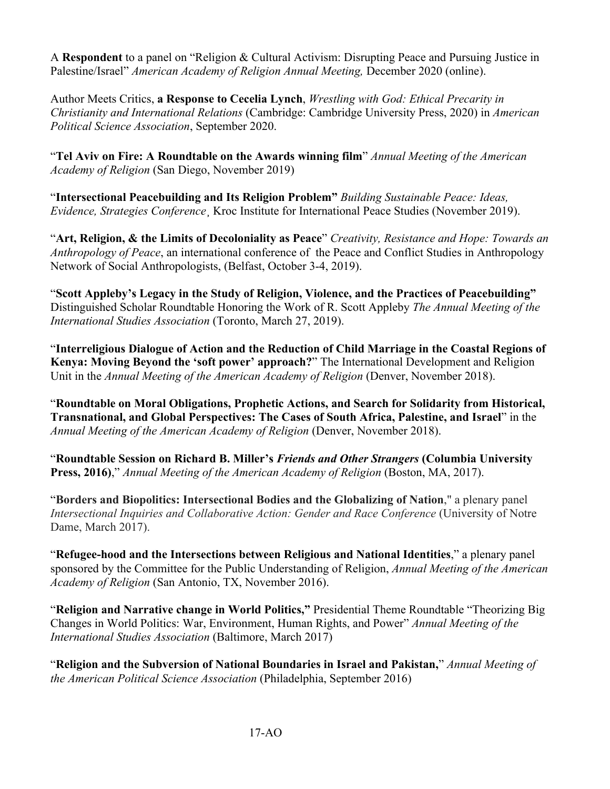A **Respondent** to a panel on "Religion & Cultural Activism: Disrupting Peace and Pursuing Justice in Palestine/Israel" *American Academy of Religion Annual Meeting,* December 2020 (online).

Author Meets Critics, **a Response to Cecelia Lynch**, *Wrestling with God: Ethical Precarity in Christianity and International Relations* (Cambridge: Cambridge University Press, 2020) in *American Political Science Association*, September 2020.

"**Tel Aviv on Fire: A Roundtable on the Awards winning film**" *Annual Meeting of the American Academy of Religion* (San Diego, November 2019)

"**Intersectional Peacebuilding and Its Religion Problem"** *Building Sustainable Peace: Ideas, Evidence, Strategies Conference*¸ Kroc Institute for International Peace Studies (November 2019).

"**Art, Religion, & the Limits of Decoloniality as Peace**" *Creativity, Resistance and Hope: Towards an Anthropology of Peace*, an international conference of the Peace and Conflict Studies in Anthropology Network of Social Anthropologists, (Belfast, October 3-4, 2019).

"**Scott Appleby's Legacy in the Study of Religion, Violence, and the Practices of Peacebuilding"**  Distinguished Scholar Roundtable Honoring the Work of R. Scott Appleby *The Annual Meeting of the International Studies Association* (Toronto, March 27, 2019).

"**Interreligious Dialogue of Action and the Reduction of Child Marriage in the Coastal Regions of Kenya: Moving Beyond the 'soft power' approach?**" The International Development and Religion Unit in the *Annual Meeting of the American Academy of Religion* (Denver, November 2018).

"**Roundtable on Moral Obligations, Prophetic Actions, and Search for Solidarity from Historical, Transnational, and Global Perspectives: The Cases of South Africa, Palestine, and Israel**" in the *Annual Meeting of the American Academy of Religion* (Denver, November 2018).

"**Roundtable Session on Richard B. Miller's** *Friends and Other Strangers* **(Columbia University Press, 2016)**," *Annual Meeting of the American Academy of Religion* (Boston, MA, 2017).

"**Borders and Biopolitics: Intersectional Bodies and the Globalizing of Nation**," a plenary panel *Intersectional Inquiries and Collaborative Action: Gender and Race Conference* (University of Notre Dame, March 2017).

"**Refugee-hood and the Intersections between Religious and National Identities**," a plenary panel sponsored by the Committee for the Public Understanding of Religion, *Annual Meeting of the American Academy of Religion* (San Antonio, TX, November 2016).

"**Religion and Narrative change in World Politics,"** Presidential Theme Roundtable "Theorizing Big Changes in World Politics: War, Environment, Human Rights, and Power" *Annual Meeting of the International Studies Association* (Baltimore, March 2017)

"**Religion and the Subversion of National Boundaries in Israel and Pakistan,**" *Annual Meeting of the American Political Science Association* (Philadelphia, September 2016)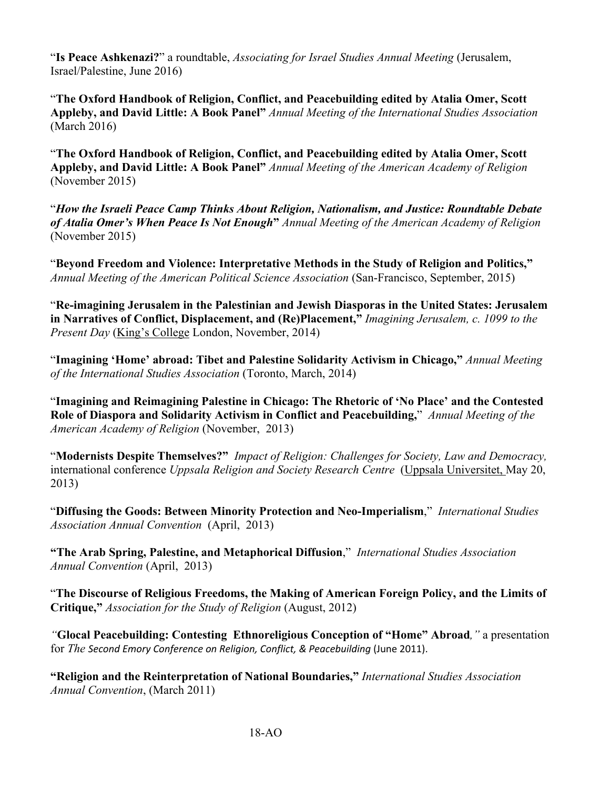"**Is Peace Ashkenazi?**" a roundtable, *Associating for Israel Studies Annual Meeting* (Jerusalem, Israel/Palestine, June 2016)

"**The Oxford Handbook of Religion, Conflict, and Peacebuilding edited by Atalia Omer, Scott Appleby, and David Little: A Book Panel"** *Annual Meeting of the International Studies Association*  (March 2016)

"**The Oxford Handbook of Religion, Conflict, and Peacebuilding edited by Atalia Omer, Scott Appleby, and David Little: A Book Panel"** *Annual Meeting of the American Academy of Religion*  (November 2015)

"*How the Israeli Peace Camp Thinks About Religion, Nationalism, and Justice: Roundtable Debate of Atalia Omer's When Peace Is Not Enough***"** *Annual Meeting of the American Academy of Religion*  (November 2015)

"**Beyond Freedom and Violence: Interpretative Methods in the Study of Religion and Politics,"** *Annual Meeting of the American Political Science Association* (San-Francisco, September, 2015)

"**Re-imagining Jerusalem in the Palestinian and Jewish Diasporas in the United States: Jerusalem in Narratives of Conflict, Displacement, and (Re)Placement,"** *Imagining Jerusalem, c. 1099 to the Present Day* (King's College London, November, 2014)

"**Imagining 'Home' abroad: Tibet and Palestine Solidarity Activism in Chicago,"** *Annual Meeting of the International Studies Association* (Toronto, March, 2014)

"**Imagining and Reimagining Palestine in Chicago: The Rhetoric of 'No Place' and the Contested Role of Diaspora and Solidarity Activism in Conflict and Peacebuilding,**" *Annual Meeting of the American Academy of Religion* (November, 2013)

"**Modernists Despite Themselves?"** *Impact of Religion: Challenges for Society, Law and Democracy,*  international conference *Uppsala Religion and Society Research Centre* (Uppsala Universitet, May 20, 2013)

"**Diffusing the Goods: Between Minority Protection and Neo-Imperialism**," *International Studies Association Annual Convention* (April, 2013)

**"The Arab Spring, Palestine, and Metaphorical Diffusion**," *International Studies Association Annual Convention* (April, 2013)

"**The Discourse of Religious Freedoms, the Making of American Foreign Policy, and the Limits of Critique,"** *Association for the Study of Religion* (August, 2012)

*"***Glocal Peacebuilding: Contesting Ethnoreligious Conception of "Home" Abroad***,"* a presentation for *The Second Emory Conference on Religion, Conflict, & Peacebuilding* (June 2011).

**"Religion and the Reinterpretation of National Boundaries,"** *International Studies Association Annual Convention*, (March 2011)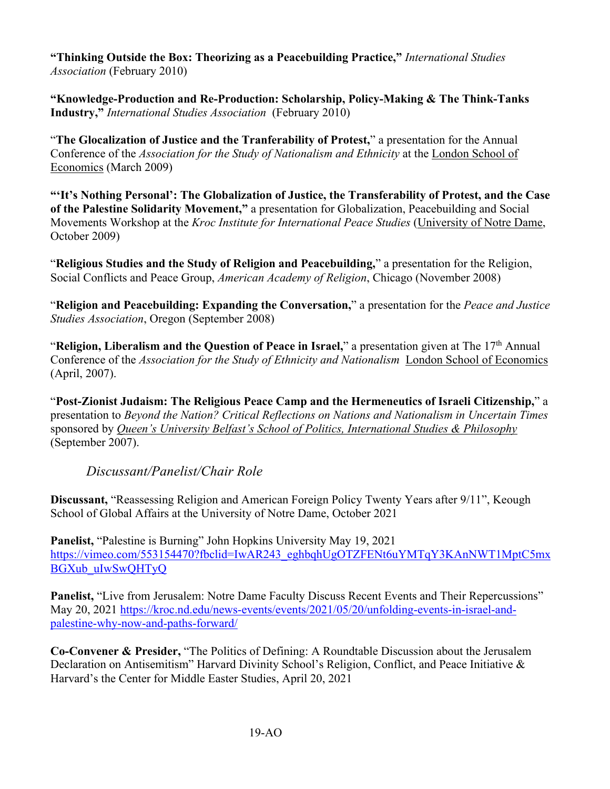**"Thinking Outside the Box: Theorizing as a Peacebuilding Practice,"** *International Studies Association* (February 2010)

**"Knowledge-Production and Re-Production: Scholarship, Policy-Making & The Think-Tanks Industry,"** *International Studies Association* (February 2010)

"**The Glocalization of Justice and the Tranferability of Protest,**" a presentation for the Annual Conference of the *Association for the Study of Nationalism and Ethnicity* at the London School of Economics (March 2009)

**"'It's Nothing Personal': The Globalization of Justice, the Transferability of Protest, and the Case of the Palestine Solidarity Movement,"** a presentation for Globalization, Peacebuilding and Social Movements Workshop at the *Kroc Institute for International Peace Studies* (University of Notre Dame, October 2009)

"**Religious Studies and the Study of Religion and Peacebuilding,**" a presentation for the Religion, Social Conflicts and Peace Group, *American Academy of Religion*, Chicago (November 2008)

"**Religion and Peacebuilding: Expanding the Conversation,**" a presentation for the *Peace and Justice Studies Association*, Oregon (September 2008)

"**Religion, Liberalism and the Question of Peace in Israel,**" a presentation given at The 17<sup>th</sup> Annual Conference of the *Association for the Study of Ethnicity and Nationalism* London School of Economics (April, 2007).

"**Post-Zionist Judaism: The Religious Peace Camp and the Hermeneutics of Israeli Citizenship,**" a presentation to *Beyond the Nation? Critical Reflections on Nations and Nationalism in Uncertain Times* sponsored by *Queen's University Belfast's School of Politics, International Studies & Philosophy* (September 2007).

*Discussant/Panelist/Chair Role*

**Discussant,** "Reassessing Religion and American Foreign Policy Twenty Years after 9/11", Keough School of Global Affairs at the University of Notre Dame, October 2021

**Panelist,** "Palestine is Burning" John Hopkins University May 19, 2021 https://vimeo.com/553154470?fbclid=IwAR243\_eghbqhUgOTZFENt6uYMTqY3KAnNWT1MptC5mx BGXub\_uIwSwQHTyQ

**Panelist,** "Live from Jerusalem: Notre Dame Faculty Discuss Recent Events and Their Repercussions" May 20, 2021 https://kroc.nd.edu/news-events/events/2021/05/20/unfolding-events-in-israel-andpalestine-why-now-and-paths-forward/

**Co-Convener & Presider,** "The Politics of Defining: A Roundtable Discussion about the Jerusalem Declaration on Antisemitism" Harvard Divinity School's Religion, Conflict, and Peace Initiative & Harvard's the Center for Middle Easter Studies, April 20, 2021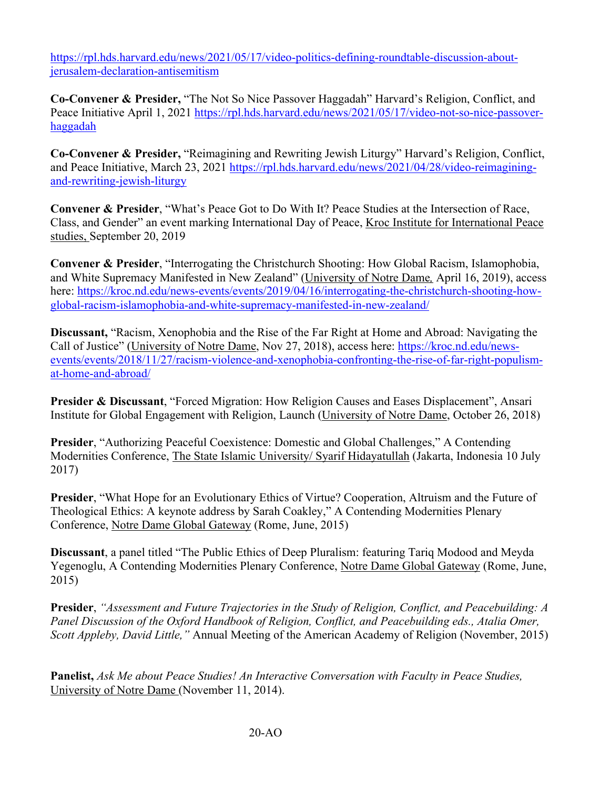https://rpl.hds.harvard.edu/news/2021/05/17/video-politics-defining-roundtable-discussion-aboutjerusalem-declaration-antisemitism

**Co-Convener & Presider,** "The Not So Nice Passover Haggadah" Harvard's Religion, Conflict, and Peace Initiative April 1, 2021 https://rpl.hds.harvard.edu/news/2021/05/17/video-not-so-nice-passoverhaggadah

**Co-Convener & Presider,** "Reimagining and Rewriting Jewish Liturgy" Harvard's Religion, Conflict, and Peace Initiative, March 23, 2021 https://rpl.hds.harvard.edu/news/2021/04/28/video-reimaginingand-rewriting-jewish-liturgy

**Convener & Presider**, "What's Peace Got to Do With It? Peace Studies at the Intersection of Race, Class, and Gender" an event marking International Day of Peace, Kroc Institute for International Peace studies, September 20, 2019

**Convener & Presider**, "Interrogating the Christchurch Shooting: How Global Racism, Islamophobia, and White Supremacy Manifested in New Zealand" (University of Notre Dame*,* April 16, 2019), access here: https://kroc.nd.edu/news-events/events/2019/04/16/interrogating-the-christchurch-shooting-howglobal-racism-islamophobia-and-white-supremacy-manifested-in-new-zealand/

**Discussant,** "Racism, Xenophobia and the Rise of the Far Right at Home and Abroad: Navigating the Call of Justice" (University of Notre Dame, Nov 27, 2018), access here: https://kroc.nd.edu/newsevents/events/2018/11/27/racism-violence-and-xenophobia-confronting-the-rise-of-far-right-populismat-home-and-abroad/

**Presider & Discussant**, "Forced Migration: How Religion Causes and Eases Displacement", Ansari Institute for Global Engagement with Religion, Launch (University of Notre Dame, October 26, 2018)

**Presider**, "Authorizing Peaceful Coexistence: Domestic and Global Challenges," A Contending Modernities Conference, The State Islamic University/ Syarif Hidayatullah (Jakarta, Indonesia 10 July 2017)

**Presider**, "What Hope for an Evolutionary Ethics of Virtue? Cooperation, Altruism and the Future of Theological Ethics: A keynote address by Sarah Coakley," A Contending Modernities Plenary Conference, Notre Dame Global Gateway (Rome, June, 2015)

**Discussant**, a panel titled "The Public Ethics of Deep Pluralism: featuring Tariq Modood and Meyda Yegenoglu, A Contending Modernities Plenary Conference, Notre Dame Global Gateway (Rome, June, 2015)

**Presider**, *"Assessment and Future Trajectories in the Study of Religion, Conflict, and Peacebuilding: A Panel Discussion of the Oxford Handbook of Religion, Conflict, and Peacebuilding eds., Atalia Omer, Scott Appleby, David Little,"* Annual Meeting of the American Academy of Religion (November, 2015)

**Panelist,** *Ask Me about Peace Studies! An Interactive Conversation with Faculty in Peace Studies,* University of Notre Dame (November 11, 2014).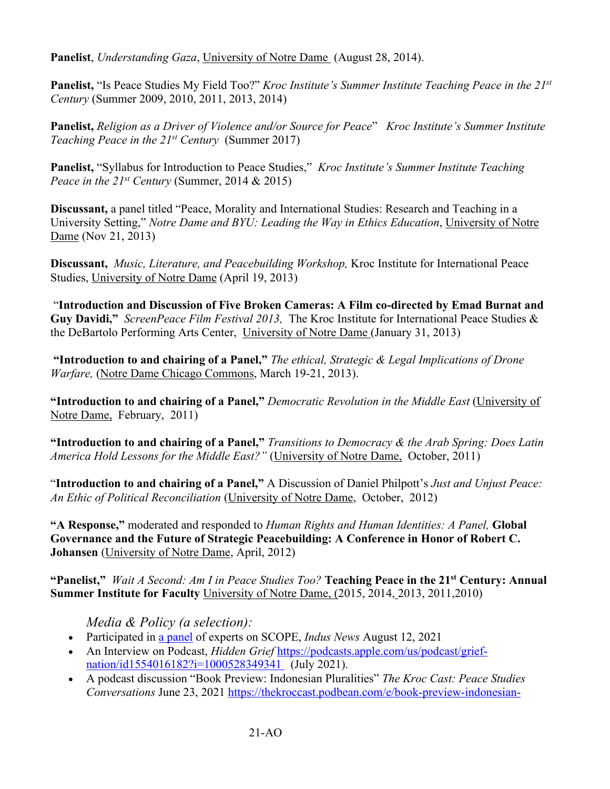**Panelist**, *Understanding Gaza*, University of Notre Dame (August 28, 2014).

**Panelist,** "Is Peace Studies My Field Too?" *Kroc Institute's Summer Institute Teaching Peace in the 21st Century* (Summer 2009, 2010, 2011, 2013, 2014)

**Panelist,** *Religion as a Driver of Violence and/or Source for Peace*" *Kroc Institute's Summer Institute Teaching Peace in the 21st Century* (Summer 2017)

**Panelist,** "Syllabus for Introduction to Peace Studies," *Kroc Institute's Summer Institute Teaching Peace in the 21st Century* (Summer, 2014 & 2015)

**Discussant,** a panel titled "Peace, Morality and International Studies: Research and Teaching in a University Setting," *Notre Dame and BYU: Leading the Way in Ethics Education*, University of Notre Dame (Nov 21, 2013)

**Discussant,** *Music, Literature, and Peacebuilding Workshop,* Kroc Institute for International Peace Studies, University of Notre Dame (April 19, 2013)

"**Introduction and Discussion of Five Broken Cameras: A Film co-directed by Emad Burnat and Guy Davidi,"** *ScreenPeace Film Festival 2013,* The Kroc Institute for International Peace Studies & the DeBartolo Performing Arts Center, University of Notre Dame (January 31, 2013)

**"Introduction to and chairing of a Panel,"** *The ethical, Strategic & Legal Implications of Drone Warfare,* (Notre Dame Chicago Commons, March 19-21, 2013).

**"Introduction to and chairing of a Panel,"** *Democratic Revolution in the Middle East* (University of Notre Dame, February, 2011)

**"Introduction to and chairing of a Panel,"** *Transitions to Democracy & the Arab Spring: Does Latin America Hold Lessons for the Middle East?"* (University of Notre Dame, October, 2011)

"**Introduction to and chairing of a Panel,"** A Discussion of Daniel Philpott's *Just and Unjust Peace: An Ethic of Political Reconciliation* (University of Notre Dame, October, 2012)

**"A Response,"** moderated and responded to *Human Rights and Human Identities: A Panel,* **Global Governance and the Future of Strategic Peacebuilding: A Conference in Honor of Robert C. Johansen** (University of Notre Dame, April, 2012)

**"Panelist,"** *Wait A Second: Am I in Peace Studies Too?* **Teaching Peace in the 21st Century: Annual Summer Institute for Faculty** University of Notre Dame, (2015, 2014, 2013, 2011,2010)

*Media & Policy (a selection):*

- Participated in a panel of experts on SCOPE, *Indus News* August 12, 2021
- An Interview on Podcast, *Hidden Grief* https://podcasts.apple.com/us/podcast/griefnation/id1554016182?i=1000528349341 (July 2021).
- A podcast discussion "Book Preview: Indonesian Pluralities" *The Kroc Cast: Peace Studies Conversations* June 23, 2021 https://thekroccast.podbean.com/e/book-preview-indonesian-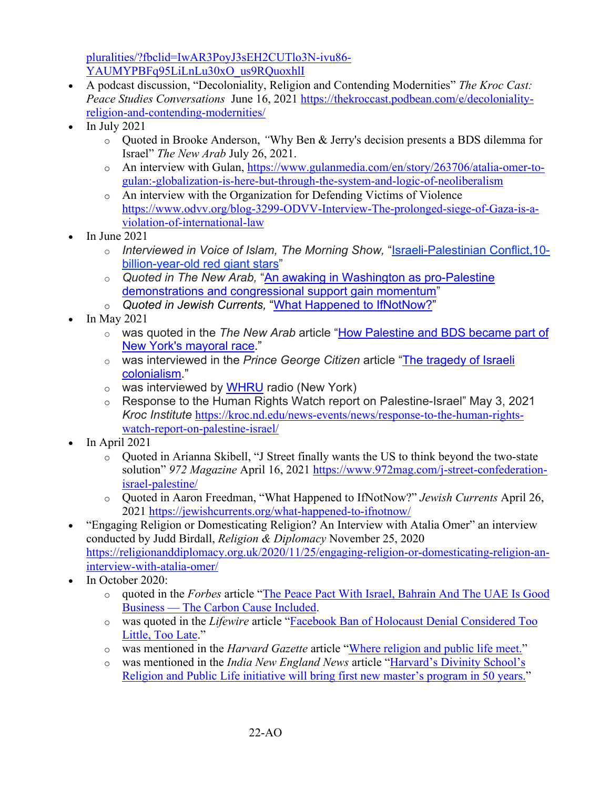pluralities/?fbclid=IwAR3PoyJ3sEH2CUTlo3N-ivu86- YAUMYPBFq95LiLnLu30xO\_us9RQuoxhlI

- A podcast discussion, "Decoloniality, Religion and Contending Modernities" *The Kroc Cast: Peace Studies Conversations* June 16, 2021 https://thekroccast.podbean.com/e/decolonialityreligion-and-contending-modernities/
- $\bullet$  In July 2021
	- o Quoted in Brooke Anderson, *"*Why Ben & Jerry's decision presents a BDS dilemma for Israel" *The New Arab* July 26, 2021.
	- o An interview with Gulan, https://www.gulanmedia.com/en/story/263706/atalia-omer-togulan:-globalization-is-here-but-through-the-system-and-logic-of-neoliberalism
	- o An interview with the Organization for Defending Victims of Violence https://www.odvv.org/blog-3299-ODVV-Interview-The-prolonged-siege-of-Gaza-is-aviolation-of-international-law
- $\bullet$  In June 2021
	- o *Interviewed in Voice of Islam, The Morning Show,* "Israeli-Palestinian Conflict,10 billion-year-old red giant stars"
	- o *Quoted in The New Arab,* "An awaking in Washington as pro-Palestine demonstrations and congressional support gain momentum"
	- o *Quoted in Jewish Currents,* "What Happened to IfNotNow?"
- In May 2021
	- o was quoted in the *The New Arab* article "How Palestine and BDS became part of New York's mayoral race."
	- o was interviewed in the *Prince George Citizen* article "The tragedy of Israeli colonialism."
	- $\circ$  was interviewed by WHRU radio (New York)
	- o Response to the Human Rights Watch report on Palestine-Israel" May 3, 2021 *Kroc Institute* https://kroc.nd.edu/news-events/news/response-to-the-human-rightswatch-report-on-palestine-israel/
- In April 2021
	- o Quoted in Arianna Skibell, "J Street finally wants the US to think beyond the two-state solution" *972 Magazine* April 16, 2021 https://www.972mag.com/j-street-confederationisrael-palestine/
	- o Quoted in Aaron Freedman, "What Happened to IfNotNow?" *Jewish Currents* April 26, 2021 https://jewishcurrents.org/what-happened-to-ifnotnow/
- "Engaging Religion or Domesticating Religion? An Interview with Atalia Omer" an interview conducted by Judd Birdall, *Religion & Diplomacy* November 25, 2020 https://religionanddiplomacy.org.uk/2020/11/25/engaging-religion-or-domesticating-religion-aninterview-with-atalia-omer/
- In October 2020:
	- o quoted in the *Forbes* article "The Peace Pact With Israel, Bahrain And The UAE Is Good Business — The Carbon Cause Included.
	- o was quoted in the *Lifewire* article "Facebook Ban of Holocaust Denial Considered Too Little, Too Late."
	- o was mentioned in the *Harvard Gazette* article "Where religion and public life meet."
	- o was mentioned in the *India New England News* article "Harvard's Divinity School's Religion and Public Life initiative will bring first new master's program in 50 years."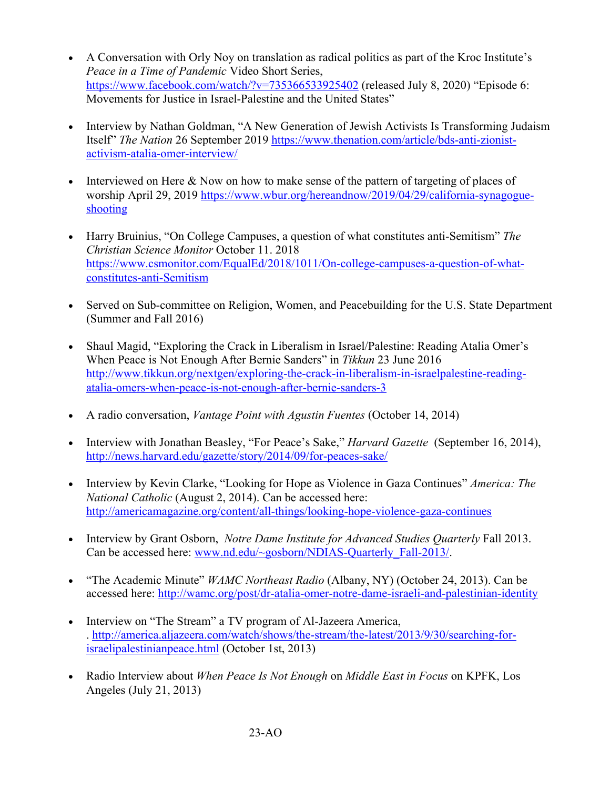- A Conversation with Orly Noy on translation as radical politics as part of the Kroc Institute's *Peace in a Time of Pandemic* Video Short Series, https://www.facebook.com/watch/?v=735366533925402 (released July 8, 2020) "Episode 6: Movements for Justice in Israel-Palestine and the United States"
- Interview by Nathan Goldman, "A New Generation of Jewish Activists Is Transforming Judaism Itself" *The Nation* 26 September 2019 https://www.thenation.com/article/bds-anti-zionistactivism-atalia-omer-interview/
- Interviewed on Here & Now on how to make sense of the pattern of targeting of places of worship April 29, 2019 https://www.wbur.org/hereandnow/2019/04/29/california-synagogueshooting
- Harry Bruinius, "On College Campuses, a question of what constitutes anti-Semitism" *The Christian Science Monitor* October 11. 2018 https://www.csmonitor.com/EqualEd/2018/1011/On-college-campuses-a-question-of-whatconstitutes-anti-Semitism
- Served on Sub-committee on Religion, Women, and Peacebuilding for the U.S. State Department (Summer and Fall 2016)
- Shaul Magid, "Exploring the Crack in Liberalism in Israel/Palestine: Reading Atalia Omer's When Peace is Not Enough After Bernie Sanders" in *Tikkun* 23 June 2016 http://www.tikkun.org/nextgen/exploring-the-crack-in-liberalism-in-israelpalestine-readingatalia-omers-when-peace-is-not-enough-after-bernie-sanders-3
- A radio conversation, *Vantage Point with Agustin Fuentes* (October 14, 2014)
- Interview with Jonathan Beasley, "For Peace's Sake," *Harvard Gazette* (September 16, 2014), http://news.harvard.edu/gazette/story/2014/09/for-peaces-sake/
- Interview by Kevin Clarke, "Looking for Hope as Violence in Gaza Continues" *America: The National Catholic* (August 2, 2014). Can be accessed here: http://americamagazine.org/content/all-things/looking-hope-violence-gaza-continues
- Interview by Grant Osborn, *Notre Dame Institute for Advanced Studies Ouarterly Fall 2013*. Can be accessed here: www.nd.edu/~gosborn/NDIAS-Quarterly\_Fall-2013/.
- "The Academic Minute" *WAMC Northeast Radio* (Albany, NY) (October 24, 2013). Can be accessed here: http://wamc.org/post/dr-atalia-omer-notre-dame-israeli-and-palestinian-identity
- Interview on "The Stream" a TV program of Al-Jazeera America, . http://america.aljazeera.com/watch/shows/the-stream/the-latest/2013/9/30/searching-forisraelipalestinianpeace.html (October 1st, 2013)
- Radio Interview about *When Peace Is Not Enough* on *Middle East in Focus* on KPFK, Los Angeles (July 21, 2013)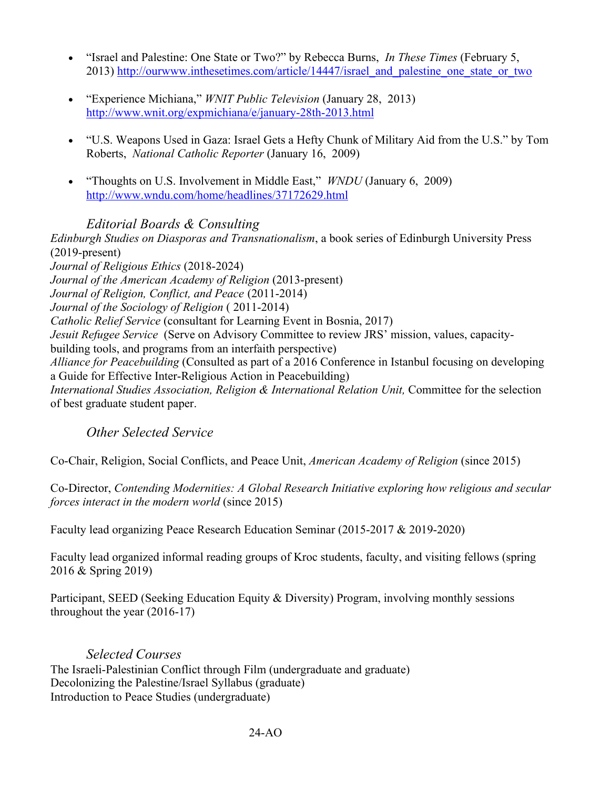- "Israel and Palestine: One State or Two?" by Rebecca Burns, *In These Times* (February 5, 2013) http://ourwww.inthesetimes.com/article/14447/israel\_and\_palestine\_one\_state\_or\_two
- "Experience Michiana," *WNIT Public Television* (January 28, 2013) http://www.wnit.org/expmichiana/e/january-28th-2013.html
- "U.S. Weapons Used in Gaza: Israel Gets a Hefty Chunk of Military Aid from the U.S." by Tom Roberts, *National Catholic Reporter* (January 16, 2009)
- "Thoughts on U.S. Involvement in Middle East," *WNDU* (January 6, 2009) http://www.wndu.com/home/headlines/37172629.html

### *Editorial Boards & Consulting*

*Edinburgh Studies on Diasporas and Transnationalism*, a book series of Edinburgh University Press (2019-present) *Journal of Religious Ethics* (2018-2024) *Journal of the American Academy of Religion* (2013-present) *Journal of Religion, Conflict, and Peace* (2011-2014) *Journal of the Sociology of Religion* ( 2011-2014) *Catholic Relief Service* (consultant for Learning Event in Bosnia, 2017) *Jesuit Refugee Service* (Serve on Advisory Committee to review JRS' mission, values, capacitybuilding tools, and programs from an interfaith perspective) *Alliance for Peacebuilding* (Consulted as part of a 2016 Conference in Istanbul focusing on developing a Guide for Effective Inter-Religious Action in Peacebuilding) *International Studies Association, Religion & International Relation Unit,* Committee for the selection of best graduate student paper.

*Other Selected Service*

Co-Chair, Religion, Social Conflicts, and Peace Unit, *American Academy of Religion* (since 2015)

Co-Director, *Contending Modernities: A Global Research Initiative exploring how religious and secular forces interact in the modern world* (since 2015)

Faculty lead organizing Peace Research Education Seminar (2015-2017 & 2019-2020)

Faculty lead organized informal reading groups of Kroc students, faculty, and visiting fellows (spring 2016 & Spring 2019)

Participant, SEED (Seeking Education Equity & Diversity) Program, involving monthly sessions throughout the year (2016-17)

### *Selected Courses*

The Israeli-Palestinian Conflict through Film (undergraduate and graduate) Decolonizing the Palestine/Israel Syllabus (graduate) Introduction to Peace Studies (undergraduate)